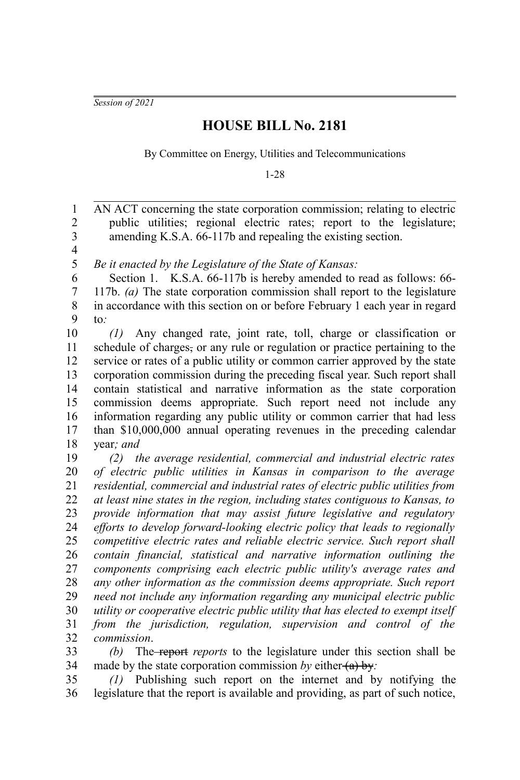*Session of 2021*

## **HOUSE BILL No. 2181**

By Committee on Energy, Utilities and Telecommunications

1-28

AN ACT concerning the state corporation commission; relating to electric public utilities; regional electric rates; report to the legislature; amending K.S.A. 66-117b and repealing the existing section. 1 2 3

4 5

*Be it enacted by the Legislature of the State of Kansas:*

Section 1. K.S.A. 66-117b is hereby amended to read as follows: 66-117b. *(a)* The state corporation commission shall report to the legislature in accordance with this section on or before February 1 each year in regard to*:* 6 7 8 9

*(1)* Any changed rate, joint rate, toll, charge or classification or schedule of charges, or any rule or regulation or practice pertaining to the service or rates of a public utility or common carrier approved by the state corporation commission during the preceding fiscal year. Such report shall contain statistical and narrative information as the state corporation commission deems appropriate. Such report need not include any information regarding any public utility or common carrier that had less than \$10,000,000 annual operating revenues in the preceding calendar year*; and* 10 11 12 13 14 15 16 17 18

*(2) the average residential, commercial and industrial electric rates of electric public utilities in Kansas in comparison to the average residential, commercial and industrial rates of electric public utilities from at least nine states in the region, including states contiguous to Kansas, to provide information that may assist future legislative and regulatory efforts to develop forward-looking electric policy that leads to regionally competitive electric rates and reliable electric service. Such report shall contain financial, statistical and narrative information outlining the components comprising each electric public utility's average rates and any other information as the commission deems appropriate. Such report need not include any information regarding any municipal electric public utility or cooperative electric public utility that has elected to exempt itself from the jurisdiction, regulation, supervision and control of the commission*. 19 20 21 22 23 24 25 26 27 28 29 30 31 32

*(b)* The report *reports* to the legislature under this section shall be made by the state corporation commission by either (a) by: 33 34

*(1)* Publishing such report on the internet and by notifying the legislature that the report is available and providing, as part of such notice, 35 36